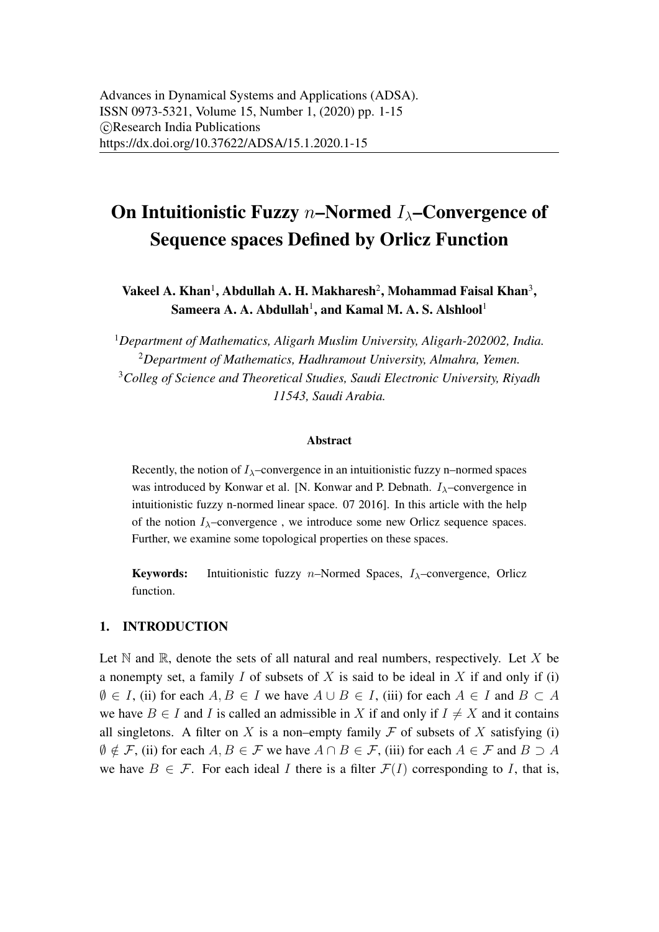# <span id="page-0-0"></span>On Intuitionistic Fuzzy  $n$ –Normed  $I_{\lambda}$ –Convergence of Sequence spaces Defined by Orlicz Function

Vakeel A. Khan<sup>1</sup>, Abdullah A. H. Makharesh<sup>2</sup>, Mohammad Faisal Khan<sup>3</sup>, Sameera A. A. Abdullah $^{\rm l}$ , and Kamal M. A. S. Alshlool $^{\rm l}$ 

*Department of Mathematics, Aligarh Muslim University, Aligarh-202002, India. Department of Mathematics, Hadhramout University, Almahra, Yemen. Colleg of Science and Theoretical Studies, Saudi Electronic University, Riyadh 11543, Saudi Arabia.*

#### Abstract

Recently, the notion of  $I_{\lambda}$ –convergence in an intuitionistic fuzzy n–normed spaces was introduced by Konwar et al. [N. Konwar and P. Debnath.  $I_{\lambda}$ –convergence in intuitionistic fuzzy n-normed linear space. 07 2016]. In this article with the help of the notion  $I_{\lambda}$ –convergence, we introduce some new Orlicz sequence spaces. Further, we examine some topological properties on these spaces.

Keywords: Intuitionistic fuzzy *n*–Normed Spaces,  $I_{\lambda}$ –convergence, Orlicz function.

#### 1. INTRODUCTION

Let  $\mathbb N$  and  $\mathbb R$ , denote the sets of all natural and real numbers, respectively. Let  $X$  be a nonempty set, a family  $I$  of subsets of  $X$  is said to be ideal in  $X$  if and only if (i)  $\emptyset \in I$ , (ii) for each  $A, B \in I$  we have  $A \cup B \in I$ , (iii) for each  $A \in I$  and  $B \subset A$ we have  $B \in I$  and I is called an admissible in X if and only if  $I \neq X$  and it contains all singletons. A filter on X is a non–empty family  $\mathcal F$  of subsets of X satisfying (i)  $\emptyset \notin \mathcal{F}$ , (ii) for each  $A, B \in \mathcal{F}$  we have  $A \cap B \in \mathcal{F}$ , (iii) for each  $A \in \mathcal{F}$  and  $B \supset A$ we have  $B \in \mathcal{F}$ . For each ideal I there is a filter  $\mathcal{F}(I)$  corresponding to I, that is,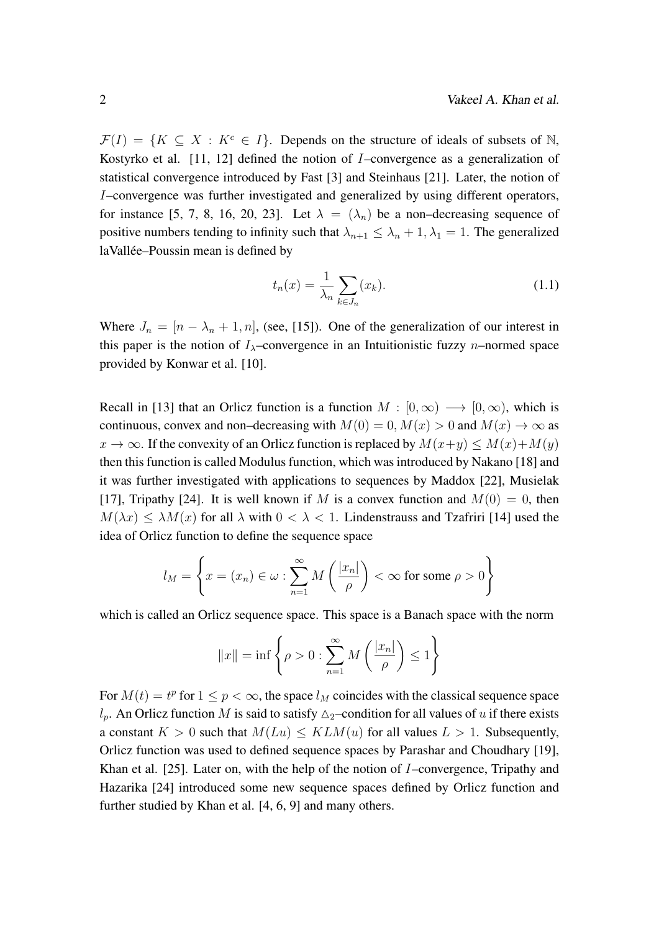$\mathcal{F}(I) = \{K \subseteq X : K^c \in I\}$ . Depends on the structure of ideals of subsets of N, Kostyrko et al. [\[11,](#page-13-0) [12\]](#page-13-1) defined the notion of I–convergence as a generalization of statistical convergence introduced by Fast [\[3\]](#page-12-1) and Steinhaus [\[21\]](#page-14-0). Later, the notion of I–convergence was further investigated and generalized by using different operators, for instance [\[5,](#page-13-2) [7,](#page-13-3) [8,](#page-13-4) [16,](#page-14-1) [20,](#page-14-2) [23\]](#page-14-3). Let  $\lambda = (\lambda_n)$  be a non-decreasing sequence of positive numbers tending to infinity such that  $\lambda_{n+1} \leq \lambda_n + 1, \lambda_1 = 1$ . The generalized laVallée–Poussin mean is defined by

$$
t_n(x) = \frac{1}{\lambda_n} \sum_{k \in J_n} (x_k). \tag{1.1}
$$

Where  $J_n = [n - \lambda_n + 1, n]$ , (see, [\[15\]](#page-13-5)). One of the generalization of our interest in this paper is the notion of  $I_{\lambda}$ –convergence in an Intuitionistic fuzzy *n*–normed space provided by Konwar et al. [\[10\]](#page-13-6).

Recall in [\[13\]](#page-13-7) that an Orlicz function is a function  $M : [0, \infty) \longrightarrow [0, \infty)$ , which is continuous, convex and non–decreasing with  $M(0) = 0$ ,  $M(x) > 0$  and  $M(x) \to \infty$  as  $x \to \infty$ . If the convexity of an Orlicz function is replaced by  $M(x+y) \leq M(x) + M(y)$ then this function is called Modulus function, which was introduced by Nakano [\[18\]](#page-14-4) and it was further investigated with applications to sequences by Maddox [\[22\]](#page-14-5), Musielak [\[17\]](#page-14-6), Tripathy [\[24\]](#page-14-7). It is well known if M is a convex function and  $M(0) = 0$ , then  $M(\lambda x) \leq \lambda M(x)$  for all  $\lambda$  with  $0 \leq \lambda \leq 1$ . Lindenstrauss and Tzafriri [\[14\]](#page-13-8) used the idea of Orlicz function to define the sequence space

$$
l_M = \left\{ x = (x_n) \in \omega : \sum_{n=1}^{\infty} M\left(\frac{|x_n|}{\rho}\right) < \infty \text{ for some } \rho > 0 \right\}
$$

which is called an Orlicz sequence space. This space is a Banach space with the norm

$$
||x|| = \inf \left\{ \rho > 0 : \sum_{n=1}^{\infty} M\left(\frac{|x_n|}{\rho}\right) \le 1 \right\}
$$

For  $M(t) = t^p$  for  $1 \leq p < \infty$ , the space  $l_M$  coincides with the classical sequence space  $l_p$ . An Orlicz function M is said to satisfy  $\Delta_2$ –condition for all values of u if there exists a constant  $K > 0$  such that  $M(Lu) \leq KLM(u)$  for all values  $L > 1$ . Subsequently, Orlicz function was used to defined sequence spaces by Parashar and Choudhary [\[19\]](#page-14-8), Khan et al. [\[25\]](#page-14-9). Later on, with the help of the notion of *I*-convergence, Tripathy and Hazarika [\[24\]](#page-14-7) introduced some new sequence spaces defined by Orlicz function and further studied by Khan et al. [\[4,](#page-13-9) [6,](#page-13-10) [9\]](#page-13-11) and many others.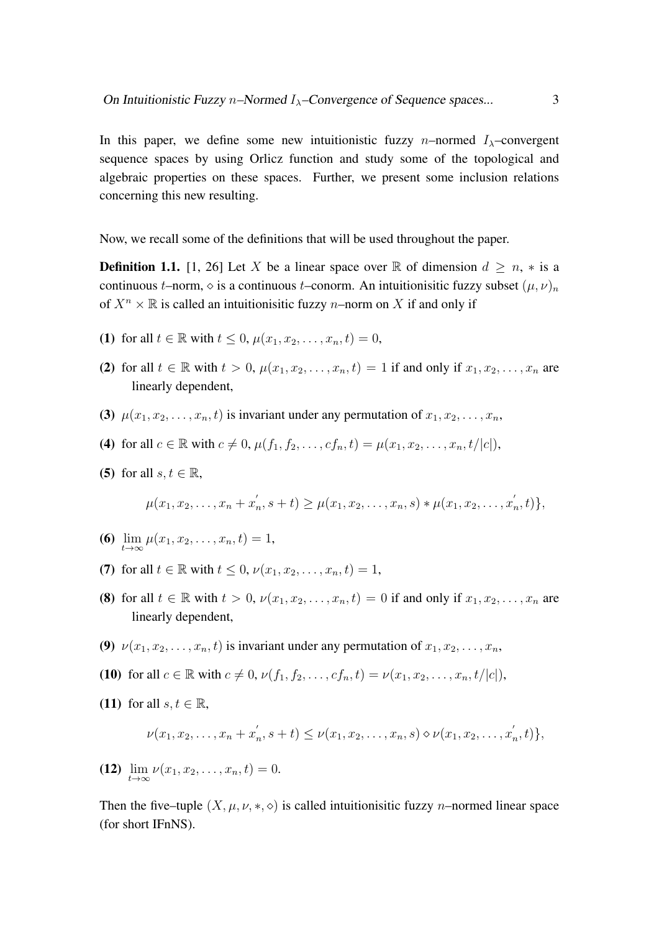In this paper, we define some new intuitionistic fuzzy n–normed  $I_{\lambda}$ –convergent sequence spaces by using Orlicz function and study some of the topological and algebraic properties on these spaces. Further, we present some inclusion relations concerning this new resulting.

Now, we recall some of the definitions that will be used throughout the paper.

**Definition 1.1.** [\[1,](#page-12-2) [26\]](#page-14-10) Let X be a linear space over R of dimension  $d \ge n$ ,  $*$  is a continuous t–norm,  $\Diamond$  is a continuous t–conorm. An intuitionisitic fuzzy subset  $(\mu, \nu)_n$ of  $X^n \times \mathbb{R}$  is called an intuitionisitic fuzzy *n*–norm on X if and only if

- (1) for all  $t \in \mathbb{R}$  with  $t \leq 0$ ,  $\mu(x_1, x_2, \ldots, x_n, t) = 0$ ,
- (2) for all  $t \in \mathbb{R}$  with  $t > 0$ ,  $\mu(x_1, x_2, ..., x_n, t) = 1$  if and only if  $x_1, x_2, ..., x_n$  are linearly dependent,
- (3)  $\mu(x_1, x_2, \ldots, x_n, t)$  is invariant under any permutation of  $x_1, x_2, \ldots, x_n$ ,
- (4) for all  $c \in \mathbb{R}$  with  $c \neq 0$ ,  $\mu(f_1, f_2, \ldots, cf_n, t) = \mu(x_1, x_2, \ldots, x_n, t/|c|)$ ,
- (5) for all  $s, t \in \mathbb{R}$ ,

$$
\mu(x_1, x_2, \ldots, x_n + x'_n, s + t) \geq \mu(x_1, x_2, \ldots, x_n, s) * \mu(x_1, x_2, \ldots, x'_n, t) \},
$$

- **(6)**  $\lim_{t \to \infty} \mu(x_1, x_2, \dots, x_n, t) = 1$ ,
- (7) for all  $t \in \mathbb{R}$  with  $t \leq 0$ ,  $\nu(x_1, x_2, \ldots, x_n, t) = 1$ ,
- (8) for all  $t \in \mathbb{R}$  with  $t > 0$ ,  $\nu(x_1, x_2, \ldots, x_n, t) = 0$  if and only if  $x_1, x_2, \ldots, x_n$  are linearly dependent,
- (9)  $\nu(x_1, x_2, \ldots, x_n, t)$  is invariant under any permutation of  $x_1, x_2, \ldots, x_n$ ,
- (10) for all  $c \in \mathbb{R}$  with  $c \neq 0$ ,  $\nu(f_1, f_2, \ldots, cf_n, t) = \nu(x_1, x_2, \ldots, x_n, t/|c|)$ ,
- (11) for all  $s, t \in \mathbb{R}$ ,

$$
\nu(x_1, x_2, \ldots, x_n + x'_n, s+t) \leq \nu(x_1, x_2, \ldots, x_n, s) \diamond \nu(x_1, x_2, \ldots, x'_n, t) \},
$$

(12)  $\lim_{t\to\infty} \nu(x_1, x_2, \ldots, x_n, t) = 0.$ 

Then the five–tuple  $(X, \mu, \nu, \ast, \diamond)$  is called intuitionisitic fuzzy *n*–normed linear space (for short IFnNS).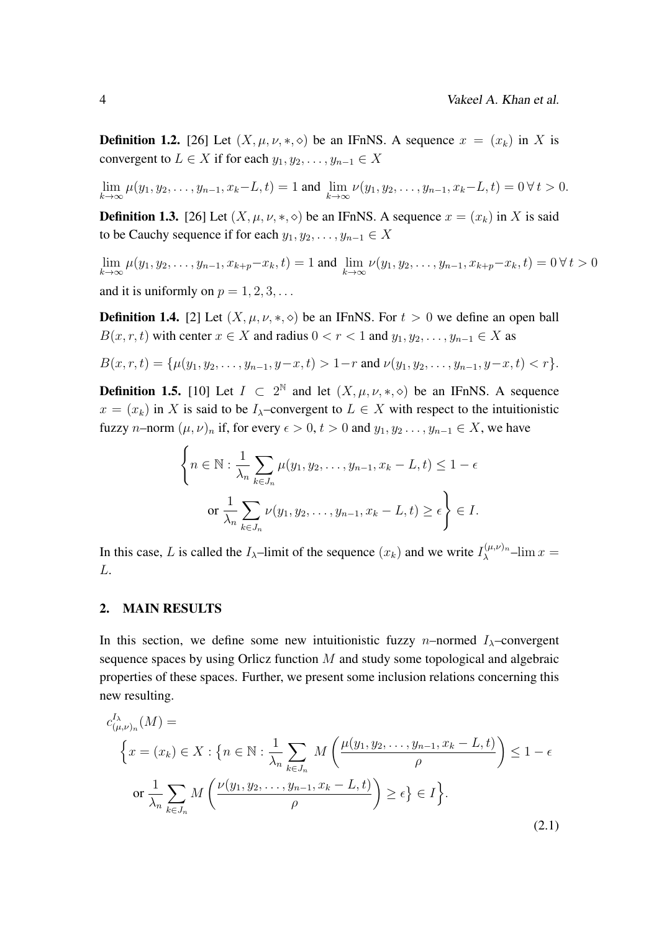**Definition 1.2.** [\[26\]](#page-14-10) Let  $(X, \mu, \nu, \ast, \diamond)$  be an IFnNS. A sequence  $x = (x_k)$  in X is convergent to  $L \in X$  if for each  $y_1, y_2, \ldots, y_{n-1} \in X$ 

 $\lim_{k \to \infty} \mu(y_1, y_2, \dots, y_{n-1}, x_k - L, t) = 1$  and  $\lim_{k \to \infty} \nu(y_1, y_2, \dots, y_{n-1}, x_k - L, t) = 0 \forall t > 0.$ 

**Definition 1.3.** [\[26\]](#page-14-10) Let  $(X, \mu, \nu, *, \diamond)$  be an IFnNS. A sequence  $x = (x_k)$  in X is said to be Cauchy sequence if for each  $y_1, y_2, \ldots, y_{n-1} \in X$ 

$$
\lim_{k \to \infty} \mu(y_1, y_2, \dots, y_{n-1}, x_{k+p} - x_k, t) = 1 \text{ and } \lim_{k \to \infty} \nu(y_1, y_2, \dots, y_{n-1}, x_{k+p} - x_k, t) = 0 \,\forall \, t > 0
$$
\nand it is uniformly on  $p = 1, 2, 3, \dots$ 

**Definition 1.4.** [\[2\]](#page-12-3) Let  $(X, \mu, \nu, *, \diamond)$  be an IFnNS. For  $t > 0$  we define an open ball  $B(x, r, t)$  with center  $x \in X$  and radius  $0 < r < 1$  and  $y_1, y_2, \ldots, y_{n-1} \in X$  as

$$
B(x,r,t) = \{\mu(y_1, y_2, \dots, y_{n-1}, y-x, t) > 1-r \text{ and } \nu(y_1, y_2, \dots, y_{n-1}, y-x, t) < r\}.
$$

**Definition 1.5.** [\[10\]](#page-13-6) Let  $I \subset 2^{\mathbb{N}}$  and let  $(X, \mu, \nu, *, \diamond)$  be an IFnNS. A sequence  $x = (x_k)$  in X is said to be  $I_\lambda$ –convergent to  $L \in X$  with respect to the intuitionistic fuzzy *n*–norm  $(\mu, \nu)_n$  if, for every  $\epsilon > 0$ ,  $t > 0$  and  $y_1, y_2, \ldots, y_{n-1} \in X$ , we have

$$
\left\{ n \in \mathbb{N} : \frac{1}{\lambda_n} \sum_{k \in J_n} \mu(y_1, y_2, \dots, y_{n-1}, x_k - L, t) \le 1 - \epsilon \right\}
$$
  
or 
$$
\frac{1}{\lambda_n} \sum_{k \in J_n} \nu(y_1, y_2, \dots, y_{n-1}, x_k - L, t) \ge \epsilon \right\} \in I.
$$

In this case, L is called the  $I_{\lambda}$ -limit of the sequence  $(x_k)$  and we write  $I_{\lambda}^{(\mu,\nu)_n}$  $\lambda^{\mu,\nu}$ <sup>- $\lim x =$ </sup> L.

#### 2. MAIN RESULTS

In this section, we define some new intuitionistic fuzzy n–normed  $I_{\lambda}$ –convergent sequence spaces by using Orlicz function M and study some topological and algebraic properties of these spaces. Further, we present some inclusion relations concerning this new resulting.

$$
c_{(\mu,\nu)_n}^{I_{\lambda}}(M) =
$$
\n
$$
\left\{ x = (x_k) \in X : \left\{ n \in \mathbb{N} : \frac{1}{\lambda_n} \sum_{k \in J_n} M\left(\frac{\mu(y_1, y_2, \dots, y_{n-1}, x_k - L, t)}{\rho}\right) \le 1 - \epsilon \right\}
$$
\n
$$
\text{or } \frac{1}{\lambda_n} \sum_{k \in J_n} M\left(\frac{\nu(y_1, y_2, \dots, y_{n-1}, x_k - L, t)}{\rho}\right) \ge \epsilon \} \in I \right\}.
$$
\n(2.1)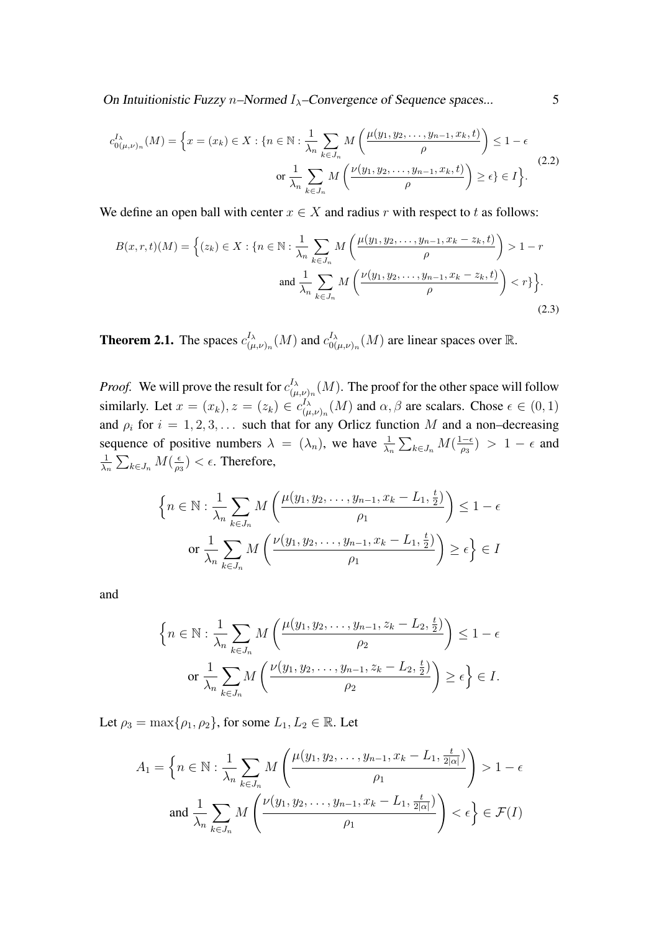On Intuitionistic Fuzzy n–Normed  $I_{\lambda}$ –Convergence of Sequence spaces... 5

$$
c_{0(\mu,\nu)_n}^{I_{\lambda}}(M) = \left\{ x = (x_k) \in X : \{ n \in \mathbb{N} : \frac{1}{\lambda_n} \sum_{k \in J_n} M\left(\frac{\mu(y_1, y_2, \dots, y_{n-1}, x_k, t)}{\rho}\right) \le 1 - \epsilon \text{ or } \frac{1}{\lambda_n} \sum_{k \in J_n} M\left(\frac{\nu(y_1, y_2, \dots, y_{n-1}, x_k, t)}{\rho}\right) \ge \epsilon \} \in I \right\}.
$$
\n(2.2)

We define an open ball with center  $x \in X$  and radius r with respect to t as follows:

$$
B(x, r, t)(M) = \left\{ (z_k) \in X : \{ n \in \mathbb{N} : \frac{1}{\lambda_n} \sum_{k \in J_n} M\left(\frac{\mu(y_1, y_2, \dots, y_{n-1}, x_k - z_k, t)}{\rho}\right) > 1 - r \text{ and } \frac{1}{\lambda_n} \sum_{k \in J_n} M\left(\frac{\nu(y_1, y_2, \dots, y_{n-1}, x_k - z_k, t)}{\rho}\right) < r \} \right\}.
$$
\n(2.3)

**Theorem 2.1.** The spaces  $c_{i\mu}^{I_{\lambda}}$  $\frac{I_{\lambda}}{(\mu,\nu)_n}(M)$  and  $c_{0(}^{I_{\lambda}}$  $\int_{0(\mu,\nu)_n}^{J_\lambda}(M)$  are linear spaces over  $\mathbb R.$ 

*Proof.* We will prove the result for  $c_{(n)}^{I_\lambda}$  $\binom{I_{\lambda}}{(\mu,\nu)_n}(M)$ . The proof for the other space will follow similarly. Let  $x = (x_k)$ ,  $z = (z_k) \in c_{(u)}^{I_\lambda}$  $(\mu_{(\mu,\nu)_n}^{J_\lambda}(M)$  and  $\alpha,\beta$  are scalars. Chose  $\epsilon \in (0,1)$ and  $\rho_i$  for  $i = 1, 2, 3, \ldots$  such that for any Orlicz function M and a non-decreasing sequence of positive numbers  $\lambda = (\lambda_n)$ , we have  $\frac{1}{\lambda_n} \sum_{k \in J_n} M(\frac{1-\epsilon_n}{\rho_3})$  $\frac{1-\epsilon}{\rho_3}$  > 1 –  $\epsilon$  and 1  $\frac{1}{\lambda_n} \sum_{k \in J_n} M(\frac{\epsilon}{\rho_2})$  $\frac{\epsilon}{\rho_3}$ ) <  $\epsilon$ . Therefore,

$$
\left\{ n \in \mathbb{N} : \frac{1}{\lambda_n} \sum_{k \in J_n} M\left(\frac{\mu(y_1, y_2, \dots, y_{n-1}, x_k - L_1, \frac{t}{2})}{\rho_1}\right) \le 1 - \epsilon \right\}
$$
  
or 
$$
\frac{1}{\lambda_n} \sum_{k \in J_n} M\left(\frac{\nu(y_1, y_2, \dots, y_{n-1}, x_k - L_1, \frac{t}{2})}{\rho_1}\right) \ge \epsilon \right\} \in I
$$

and

$$
\left\{ n \in \mathbb{N} : \frac{1}{\lambda_n} \sum_{k \in J_n} M\left(\frac{\mu(y_1, y_2, \dots, y_{n-1}, z_k - L_2, \frac{t}{2})}{\rho_2}\right) \le 1 - \epsilon
$$
  
or 
$$
\frac{1}{\lambda_n} \sum_{k \in J_n} M\left(\frac{\nu(y_1, y_2, \dots, y_{n-1}, z_k - L_2, \frac{t}{2})}{\rho_2}\right) \ge \epsilon \right\} \in I.
$$

Let  $\rho_3 = \max\{\rho_1, \rho_2\}$ , for some  $L_1, L_2 \in \mathbb{R}$ . Let

$$
A_1 = \left\{ n \in \mathbb{N} : \frac{1}{\lambda_n} \sum_{k \in J_n} M\left(\frac{\mu(y_1, y_2, \dots, y_{n-1}, x_k - L_1, \frac{t}{2|\alpha|})}{\rho_1}\right) > 1 - \epsilon \right\}
$$
  
and 
$$
\frac{1}{\lambda_n} \sum_{k \in J_n} M\left(\frac{\nu(y_1, y_2, \dots, y_{n-1}, x_k - L_1, \frac{t}{2|\alpha|})}{\rho_1}\right) < \epsilon \right\} \in \mathcal{F}(I)
$$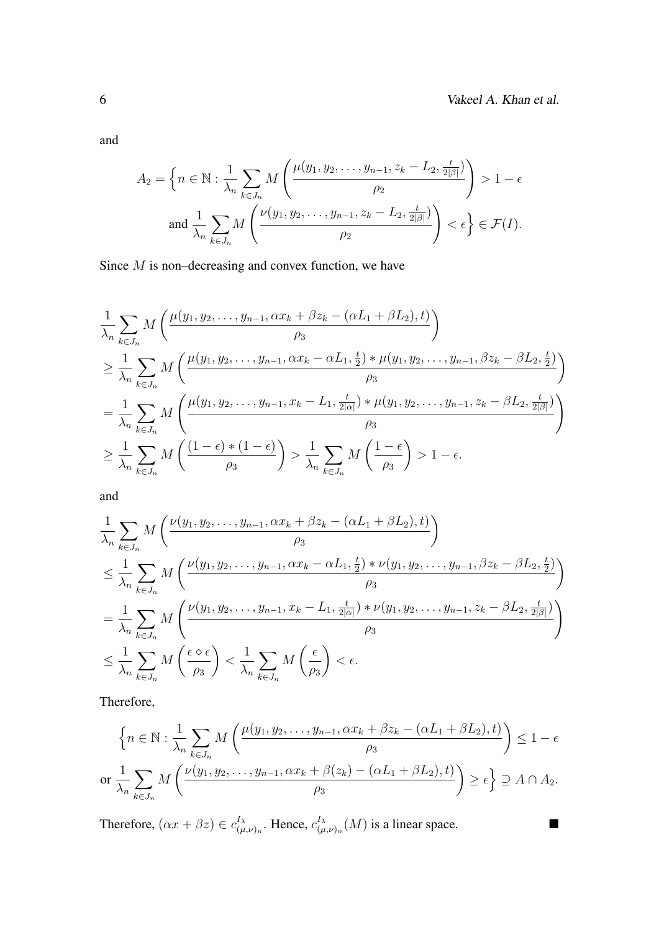and

$$
A_2 = \left\{ n \in \mathbb{N} : \frac{1}{\lambda_n} \sum_{k \in J_n} M\left(\frac{\mu(y_1, y_2, \dots, y_{n-1}, z_k - L_2, \frac{t}{2|\beta|})}{\rho_2}\right) > 1 - \epsilon \text{ and } \frac{1}{\lambda_n} \sum_{k \in J_n} M\left(\frac{\nu(y_1, y_2, \dots, y_{n-1}, z_k - L_2, \frac{t}{2|\beta|})}{\rho_2}\right) < \epsilon \right\} \in \mathcal{F}(I).
$$

Since *M* is non–decreasing and convex function, we have

$$
\frac{1}{\lambda_n} \sum_{k \in J_n} M\left(\frac{\mu(y_1, y_2, \dots, y_{n-1}, \alpha x_k + \beta z_k - (\alpha L_1 + \beta L_2), t)}{\rho_3}\right)
$$
\n
$$
\geq \frac{1}{\lambda_n} \sum_{k \in J_n} M\left(\frac{\mu(y_1, y_2, \dots, y_{n-1}, \alpha x_k - \alpha L_1, \frac{t}{2}) * \mu(y_1, y_2, \dots, y_{n-1}, \beta z_k - \beta L_2, \frac{t}{2})}{\rho_3}\right)
$$
\n
$$
= \frac{1}{\lambda_n} \sum_{k \in J_n} M\left(\frac{\mu(y_1, y_2, \dots, y_{n-1}, x_k - L_1, \frac{t}{2|\alpha|}) * \mu(y_1, y_2, \dots, y_{n-1}, z_k - \beta L_2, \frac{t}{2|\beta|}}{\rho_3}\right)
$$
\n
$$
\geq \frac{1}{\lambda_n} \sum_{k \in J_n} M\left(\frac{(1 - \epsilon) * (1 - \epsilon)}{\rho_3}\right) > \frac{1}{\lambda_n} \sum_{k \in J_n} M\left(\frac{1 - \epsilon}{\rho_3}\right) > 1 - \epsilon.
$$

and

$$
\frac{1}{\lambda_n} \sum_{k \in J_n} M\left(\frac{\nu(y_1, y_2, \dots, y_{n-1}, \alpha x_k + \beta z_k - (\alpha L_1 + \beta L_2), t)}{\rho_3}\right)
$$
\n
$$
\leq \frac{1}{\lambda_n} \sum_{k \in J_n} M\left(\frac{\nu(y_1, y_2, \dots, y_{n-1}, \alpha x_k - \alpha L_1, \frac{t}{2}) * \nu(y_1, y_2, \dots, y_{n-1}, \beta z_k - \beta L_2, \frac{t}{2})}{\rho_3}\right)
$$
\n
$$
= \frac{1}{\lambda_n} \sum_{k \in J_n} M\left(\frac{\nu(y_1, y_2, \dots, y_{n-1}, x_k - L_1, \frac{t}{2|\alpha|}) * \nu(y_1, y_2, \dots, y_{n-1}, z_k - \beta L_2, \frac{t}{2|\beta|})}{\rho_3}\right)
$$
\n
$$
\leq \frac{1}{\lambda_n} \sum_{k \in J_n} M\left(\frac{\epsilon \diamond \epsilon}{\rho_3}\right) < \frac{1}{\lambda_n} \sum_{k \in J_n} M\left(\frac{\epsilon}{\rho_3}\right) < \epsilon.
$$

Therefore,

$$
\left\{ n \in \mathbb{N} : \frac{1}{\lambda_n} \sum_{k \in J_n} M\left(\frac{\mu(y_1, y_2, \dots, y_{n-1}, \alpha x_k + \beta z_k - (\alpha L_1 + \beta L_2), t)}{\rho_3}\right) \le 1 - \epsilon
$$
  
or 
$$
\frac{1}{\lambda_n} \sum_{k \in J_n} M\left(\frac{\nu(y_1, y_2, \dots, y_{n-1}, \alpha x_k + \beta(z_k) - (\alpha L_1 + \beta L_2), t)}{\rho_3}\right) \ge \epsilon \right\} \supseteq A \cap A_2.
$$

Therefore,  $(\alpha x + \beta z) \in c_{(n)}^{I_{\lambda}}$  $\prod_{(\mu,\nu)_n}^{I_\lambda}$ . Hence,  $c^{I_\lambda}_{(\mu)}$  $\int_{(\mu,\nu)_n}^{I_\lambda}(M)$  is a linear space.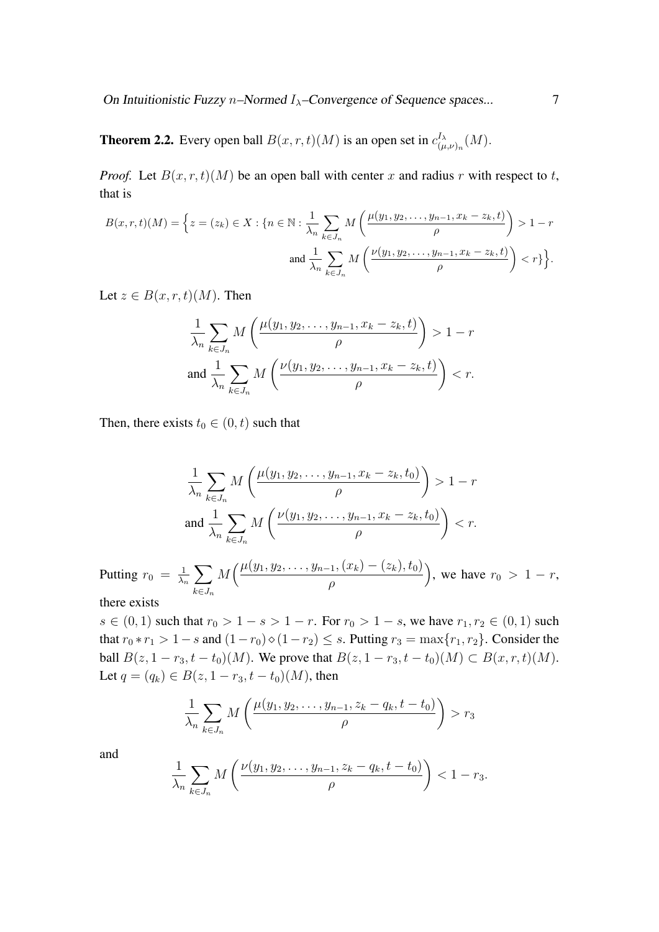On Intuitionistic Fuzzy n–Normed  $I_{\lambda}$ –Convergence of Sequence spaces... 7

**Theorem 2.2.** Every open ball  $B(x, r, t)(M)$  is an open set in  $c_{0}^{I_{\lambda}}$  $\iota_{(\mu,\nu)_n}^{\scriptscriptstyle I_{\lambda}}(M).$ 

*Proof.* Let  $B(x, r, t)(M)$  be an open ball with center x and radius r with respect to t, that is

$$
B(x, r, t)(M) = \left\{ z = (z_k) \in X : \{ n \in \mathbb{N} : \frac{1}{\lambda_n} \sum_{k \in J_n} M\left(\frac{\mu(y_1, y_2, \dots, y_{n-1}, x_k - z_k, t)}{\rho}\right) > 1 - r \text{ and } \frac{1}{\lambda_n} \sum_{k \in J_n} M\left(\frac{\nu(y_1, y_2, \dots, y_{n-1}, x_k - z_k, t)}{\rho}\right) < r \} \right\}.
$$

Let  $z \in B(x, r, t)(M)$ . Then

$$
\frac{1}{\lambda_n} \sum_{k \in J_n} M\left(\frac{\mu(y_1, y_2, \dots, y_{n-1}, x_k - z_k, t)}{\rho}\right) > 1 - r
$$
  
and 
$$
\frac{1}{\lambda_n} \sum_{k \in J_n} M\left(\frac{\nu(y_1, y_2, \dots, y_{n-1}, x_k - z_k, t)}{\rho}\right) < r.
$$

Then, there exists  $t_0 \in (0, t)$  such that

$$
\frac{1}{\lambda_n} \sum_{k \in J_n} M\left(\frac{\mu(y_1, y_2, \dots, y_{n-1}, x_k - z_k, t_0)}{\rho}\right) > 1 - r
$$
  
and 
$$
\frac{1}{\lambda_n} \sum_{k \in J_n} M\left(\frac{\nu(y_1, y_2, \dots, y_{n-1}, x_k - z_k, t_0)}{\rho}\right) < r.
$$

Putting  $r_0 = \frac{1}{\lambda_0}$  $\frac{1}{\lambda_n} \sum$  $k \in J_n$  $M\left(\frac{\mu(y_1,y_2,\dots,y_{n-1},(x_k)-(z_k),t_0)}{H}\right)$ ρ ), we have  $r_0 > 1 - r$ ,

there exists

s ∈ (0, 1) such that  $r_0 > 1 - s > 1 - r$ . For  $r_0 > 1 - s$ , we have  $r_1, r_2 \in (0, 1)$  such that  $r_0 * r_1 > 1 - s$  and  $(1 - r_0) \circ (1 - r_2) \leq s$ . Putting  $r_3 = \max\{r_1, r_2\}$ . Consider the ball  $B(z, 1 - r_3, t - t_0)(M)$ . We prove that  $B(z, 1 - r_3, t - t_0)(M) \subset B(x, r, t)(M)$ . Let  $q = (q_k) \in B(z, 1 - r_3, t - t_0)(M)$ , then

$$
\frac{1}{\lambda_n}\sum_{k\in J_n} M\left(\frac{\mu(y_1, y_2, \dots, y_{n-1}, z_k - q_k, t - t_0)}{\rho}\right) > r_3
$$

and

$$
\frac{1}{\lambda_n}\sum_{k\in J_n}M\left(\frac{\nu(y_1,y_2,\ldots,y_{n-1},z_k-q_k,t-t_0)}{\rho}\right)<1-r_3.
$$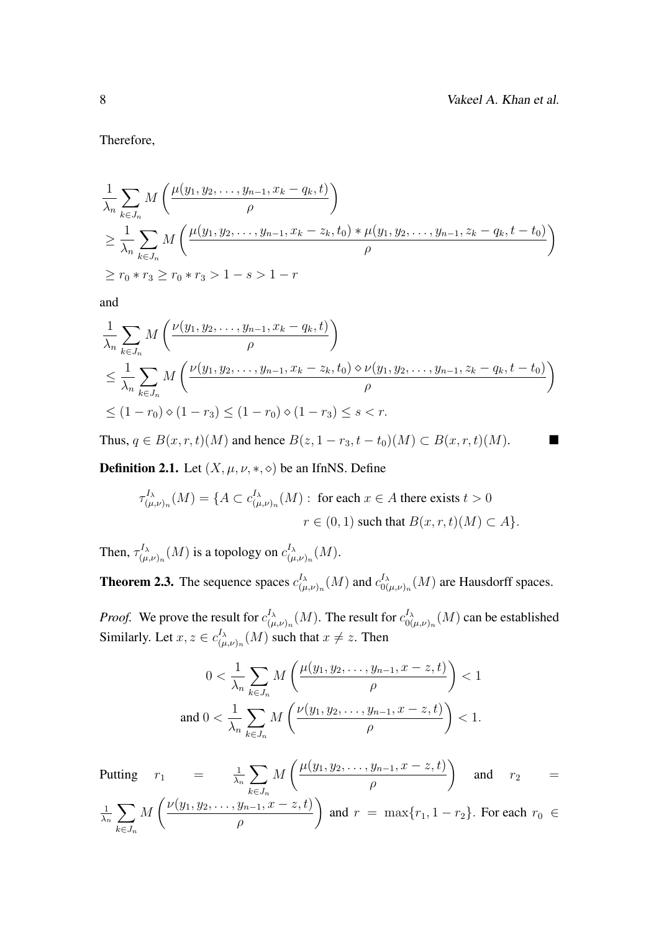Therefore,

$$
\frac{1}{\lambda_n} \sum_{k \in J_n} M\left(\frac{\mu(y_1, y_2, \dots, y_{n-1}, x_k - q_k, t)}{\rho}\right)
$$
\n
$$
\geq \frac{1}{\lambda_n} \sum_{k \in J_n} M\left(\frac{\mu(y_1, y_2, \dots, y_{n-1}, x_k - z_k, t_0) * \mu(y_1, y_2, \dots, y_{n-1}, z_k - q_k, t - t_0)}{\rho}\right)
$$
\n
$$
\geq r_0 * r_3 \geq r_0 * r_3 > 1 - s > 1 - r
$$

and

$$
\frac{1}{\lambda_n} \sum_{k \in J_n} M\left(\frac{\nu(y_1, y_2, \dots, y_{n-1}, x_k - q_k, t)}{\rho}\right)
$$
\n
$$
\leq \frac{1}{\lambda_n} \sum_{k \in J_n} M\left(\frac{\nu(y_1, y_2, \dots, y_{n-1}, x_k - z_k, t_0) \diamond \nu(y_1, y_2, \dots, y_{n-1}, z_k - q_k, t - t_0)}{\rho}\right)
$$
\n
$$
\leq (1 - r_0) \diamond (1 - r_3) \leq (1 - r_0) \diamond (1 - r_3) \leq s < r.
$$

Thus,  $q \in B(x, r, t)(M)$  and hence  $B(z, 1 - r_3, t - t_0)(M) \subset B(x, r, t)(M)$ .

**Definition 2.1.** Let  $(X, \mu, \nu, \ast, \diamond)$  be an IfnNS. Define

$$
\tau_{(\mu,\nu)_n}^{I_\lambda}(M) = \{ A \subset c_{(\mu,\nu)_n}^{I_\lambda}(M) : \text{ for each } x \in A \text{ there exists } t > 0
$$

$$
r \in (0,1) \text{ such that } B(x,r,t)(M) \subset A \}.
$$

Then,  $\tau_{\mu}^{I_{\lambda}}$  $\iota_{(\mu,\nu)_n}^{I_\lambda}(M)$  is a topology on  $c_{(\mu}^{I_\lambda})$  $^{{I}_{\lambda}}_{(\mu,\nu)_{n}}(M).$ 

**Theorem 2.3.** The sequence spaces  $c_{(n)}^{I_{\lambda}}$  $\int_{(\mu,\nu)_n}^{I_\lambda} (M)$  and  $c_{00}^{I_\lambda}$  $\int_{0(\mu,\nu)_n}^{\mu_\lambda}(M)$  are Hausdorff spaces.

*Proof.* We prove the result for  $c_{\mu}^{I_{\lambda}}$  $\frac{I_{\lambda}}{(\mu,\nu)_{n}}(M).$  The result for  $c_{00}^{I_{\lambda}}$  $\int_{0(\mu,\nu)_n}^{\mu_\lambda} (M)$  can be established Similarly. Let  $x, z \in c_{0}^{I_{\lambda}}$  $\int_{(\mu,\nu)_n}^{\Lambda} (M)$  such that  $x \neq z$ . Then

$$
0 < \frac{1}{\lambda_n} \sum_{k \in J_n} M\left(\frac{\mu(y_1, y_2, \dots, y_{n-1}, x - z, t)}{\rho}\right) < 1
$$
\nand

\n
$$
0 < \frac{1}{\lambda_n} \sum_{k \in J_n} M\left(\frac{\nu(y_1, y_2, \dots, y_{n-1}, x - z, t)}{\rho}\right) < 1.
$$

Putting  $r_1 = \frac{1}{\lambda_1}$  $\frac{1}{\lambda_n} \sum$  $k \in J_n$ M  $\int \mu(y_1, y_2, \ldots, y_{n-1}, x-z, t)$ ρ  $\setminus$ and  $r_2 =$ 1  $\frac{1}{\lambda_n} \sum$  $k \in J_n$ M  $\left(\nu(y_1, y_2, \ldots, y_{n-1}, x-z, t)\right)$ ρ  $\setminus$ and  $r = \max\{r_1, 1 - r_2\}$ . For each  $r_0 \in$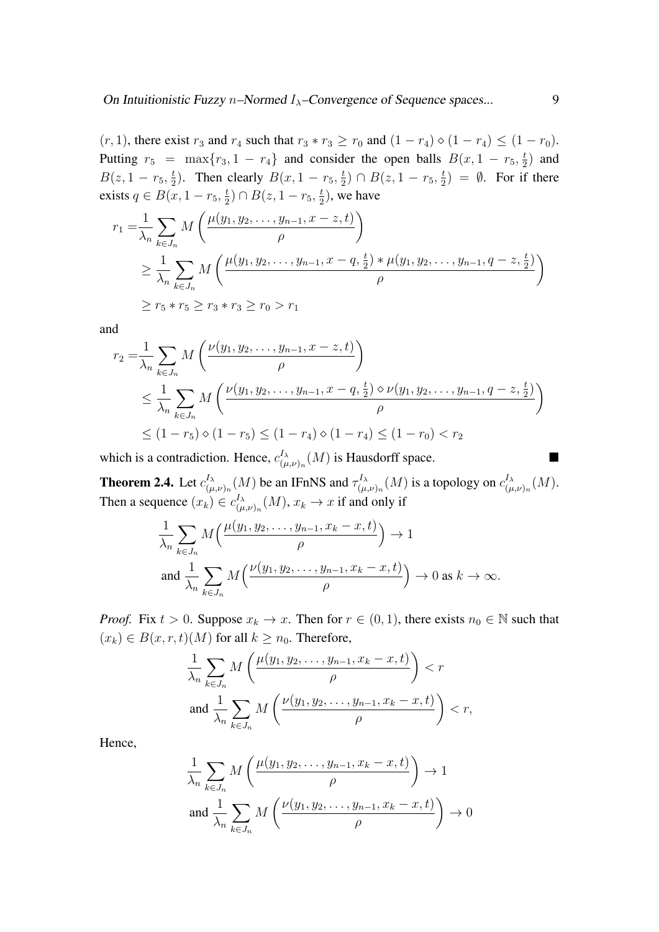$(r, 1)$ , there exist  $r_3$  and  $r_4$  such that  $r_3 * r_3 \ge r_0$  and  $(1 - r_4) \diamond (1 - r_4) \le (1 - r_0)$ . Putting  $r_5 = \max\{r_3, 1 - r_4\}$  and consider the open balls  $B(x, 1 - r_5, \frac{t_5}{2})$  $(\frac{t}{2})$  and  $B(z,1-r_5,\frac{t}{2})$  $\frac{t}{2}$ ). Then clearly  $B(x, 1 - r_5, \frac{t}{2})$  $(\frac{t}{2}) \cap B(z, 1-r_5, \frac{t}{2})$  $(\frac{t}{2}) = \emptyset$ . For if there exists  $q \in B(x, 1-r_5, \frac{t}{2})$  $(\frac{t}{2}) \cap B(z, 1-r_5, \frac{t}{2})$  $(\frac{t}{2})$ , we have

$$
r_1 = \frac{1}{\lambda_n} \sum_{k \in J_n} M\left(\frac{\mu(y_1, y_2, \dots, y_{n-1}, x - z, t)}{\rho}\right)
$$
  
\n
$$
\geq \frac{1}{\lambda_n} \sum_{k \in J_n} M\left(\frac{\mu(y_1, y_2, \dots, y_{n-1}, x - q, \frac{t}{2}) * \mu(y_1, y_2, \dots, y_{n-1}, q - z, \frac{t}{2})}{\rho}\right)
$$
  
\n
$$
\geq r_5 * r_5 \geq r_3 * r_3 \geq r_0 > r_1
$$

and

$$
r_2 = \frac{1}{\lambda_n} \sum_{k \in J_n} M\left(\frac{\nu(y_1, y_2, \dots, y_{n-1}, x - z, t)}{\rho}\right)
$$
  
\$\leq \frac{1}{\lambda\_n} \sum\_{k \in J\_n} M\left(\frac{\nu(y\_1, y\_2, \dots, y\_{n-1}, x - q, \frac{t}{2}) \diamond \nu(y\_1, y\_2, \dots, y\_{n-1}, q - z, \frac{t}{2})}{\rho}\right)\$  
\$\leq (1 - r\_5) \diamond (1 - r\_5) \leq (1 - r\_4) \diamond (1 - r\_4) \leq (1 - r\_0) < r\_2\$

which is a contradiction. Hence,  $c_{\mu}^{I_{\lambda}}$  $\int_{(\mu,\nu)_n}^{I_\lambda}(M)$  is Hausdorff space.

**Theorem 2.4.** Let  $c_{0}^{I_{\lambda}}$  $_{(\mu,\nu)_{n}}^{I_{\lambda}}(M)$  be an IFnNS and  $\tau^{I_{\lambda}}_{(\mu}$  $\epsilon_{(\mu, \nu)_n}^{I_{\lambda}}(M)$  is a topology on  $c_{(\mu}^{I_{\lambda}})$  $\iota_{(\mu,\nu)_n}^{\scriptscriptstyle I_{\lambda}}(M).$ Then a sequence  $(x_k) \in c_{(n)}^{I_\lambda}$  $\chi_{(\mu,\nu)_n}^{\mu_\lambda}(M), x_k \to x$  if and only if

$$
\frac{1}{\lambda_n} \sum_{k \in J_n} M\left(\frac{\mu(y_1, y_2, \dots, y_{n-1}, x_k - x, t)}{\rho}\right) \to 1
$$
\n
$$
\text{and } \frac{1}{\lambda_n} \sum_{k \in J_n} M\left(\frac{\nu(y_1, y_2, \dots, y_{n-1}, x_k - x, t)}{\rho}\right) \to 0 \text{ as } k \to \infty.
$$

*Proof.* Fix  $t > 0$ . Suppose  $x_k \to x$ . Then for  $r \in (0, 1)$ , there exists  $n_0 \in \mathbb{N}$  such that  $(x_k) \in B(x, r, t)$  (*M*) for all  $k \geq n_0$ . Therefore,

$$
\frac{1}{\lambda_n} \sum_{k \in J_n} M\left(\frac{\mu(y_1, y_2, \dots, y_{n-1}, x_k - x, t)}{\rho}\right) < r
$$
\n
$$
\text{and } \frac{1}{\lambda_n} \sum_{k \in J_n} M\left(\frac{\nu(y_1, y_2, \dots, y_{n-1}, x_k - x, t)}{\rho}\right) < r,
$$

Hence,

$$
\frac{1}{\lambda_n} \sum_{k \in J_n} M\left(\frac{\mu(y_1, y_2, \dots, y_{n-1}, x_k - x, t)}{\rho}\right) \to 1
$$
  
and 
$$
\frac{1}{\lambda_n} \sum_{k \in J_n} M\left(\frac{\nu(y_1, y_2, \dots, y_{n-1}, x_k - x, t)}{\rho}\right) \to 0
$$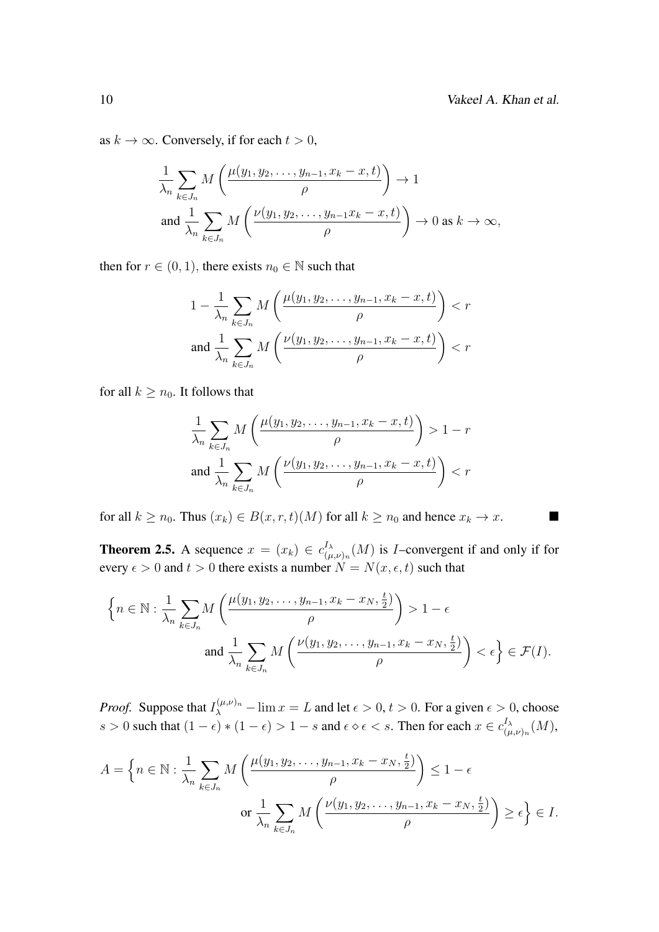as  $k \to \infty$ . Conversely, if for each  $t > 0$ ,

$$
\frac{1}{\lambda_n} \sum_{k \in J_n} M\left(\frac{\mu(y_1, y_2, \dots, y_{n-1}, x_k - x, t)}{\rho}\right) \to 1
$$
\n
$$
\text{and } \frac{1}{\lambda_n} \sum_{k \in J_n} M\left(\frac{\nu(y_1, y_2, \dots, y_{n-1} x_k - x, t)}{\rho}\right) \to 0 \text{ as } k \to \infty,
$$

then for  $r \in (0, 1)$ , there exists  $n_0 \in \mathbb{N}$  such that

$$
1 - \frac{1}{\lambda_n} \sum_{k \in J_n} M\left(\frac{\mu(y_1, y_2, \dots, y_{n-1}, x_k - x, t)}{\rho}\right) < r
$$
\n
$$
\text{and } \frac{1}{\lambda_n} \sum_{k \in J_n} M\left(\frac{\nu(y_1, y_2, \dots, y_{n-1}, x_k - x, t)}{\rho}\right) < r
$$

for all  $k \geq n_0$ . It follows that

$$
\frac{1}{\lambda_n} \sum_{k \in J_n} M\left(\frac{\mu(y_1, y_2, \dots, y_{n-1}, x_k - x, t)}{\rho}\right) > 1 - r
$$
  
and 
$$
\frac{1}{\lambda_n} \sum_{k \in J_n} M\left(\frac{\nu(y_1, y_2, \dots, y_{n-1}, x_k - x, t)}{\rho}\right) < r
$$

for all  $k \ge n_0$ . Thus  $(x_k) \in B(x, r, t)(M)$  for all  $k \ge n_0$  and hence  $x_k \to x$ .

**Theorem 2.5.** A sequence  $x = (x_k) \in c_{(n_k)}^{I_\lambda}$  $\int_{(\mu,\nu)_n}^{\Lambda} (M)$  is *I*-convergent if and only if for every  $\epsilon > 0$  and  $t > 0$  there exists a number  $N = N(x, \epsilon, t)$  such that

$$
\left\{ n \in \mathbb{N} : \frac{1}{\lambda_n} \sum_{k \in J_n} M\left(\frac{\mu(y_1, y_2, \dots, y_{n-1}, x_k - x_N, \frac{t}{2})}{\rho}\right) > 1 - \epsilon \right\}
$$
  
and 
$$
\frac{1}{\lambda_n} \sum_{k \in J_n} M\left(\frac{\nu(y_1, y_2, \dots, y_{n-1}, x_k - x_N, \frac{t}{2})}{\rho}\right) < \epsilon \right\} \in \mathcal{F}(I).
$$

*Proof.* Suppose that  $I_{\lambda}^{(\mu,\nu)_n}$  –  $\lim x = L$  and let  $\epsilon > 0$ ,  $t > 0$ . For a given  $\epsilon > 0$ , choose s > 0 such that  $(1 - \epsilon) * (1 - \epsilon) > 1 - s$  and  $\epsilon \diamond \epsilon < s$ . Then for each  $x \in c_{\epsilon m}^{I_{\lambda}}$  $\iota_{(\mu,\nu)_n}^{\scriptscriptstyle I_{\lambda}}(M),$ 

$$
A = \left\{ n \in \mathbb{N} : \frac{1}{\lambda_n} \sum_{k \in J_n} M\left(\frac{\mu(y_1, y_2, \dots, y_{n-1}, x_k - x_N, \frac{t}{2})}{\rho}\right) \le 1 - \epsilon \right\}
$$
  
or 
$$
\frac{1}{\lambda_n} \sum_{k \in J_n} M\left(\frac{\nu(y_1, y_2, \dots, y_{n-1}, x_k - x_N, \frac{t}{2})}{\rho}\right) \ge \epsilon \right\} \in I.
$$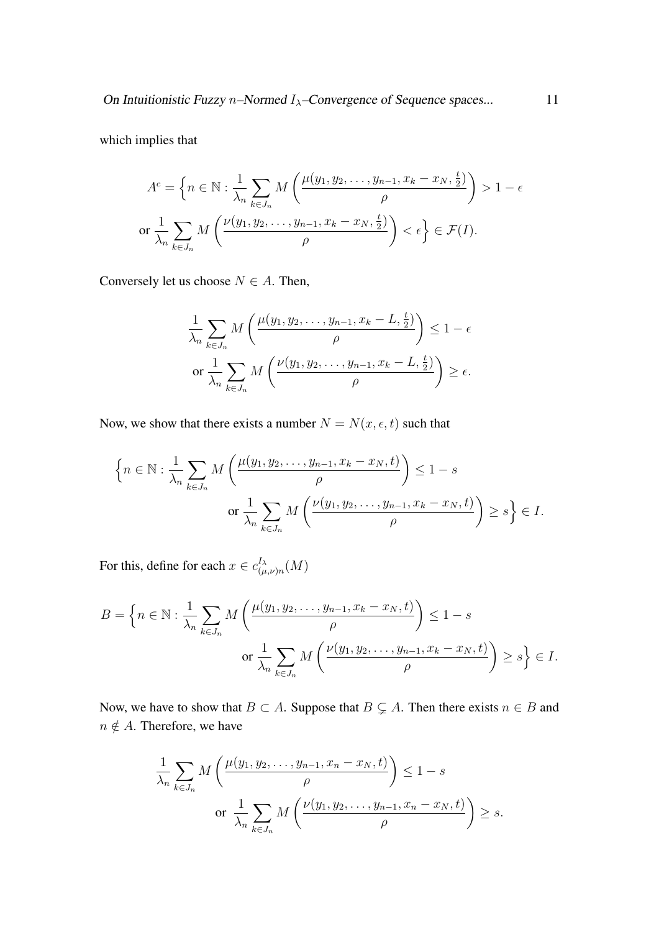On Intuitionistic Fuzzy n–Normed  $I_{\lambda}$ –Convergence of Sequence spaces... 11

which implies that

$$
A^c = \left\{ n \in \mathbb{N} : \frac{1}{\lambda_n} \sum_{k \in J_n} M\left(\frac{\mu(y_1, y_2, \dots, y_{n-1}, x_k - x_N, \frac{t}{2})}{\rho}\right) > 1 - \epsilon \right\}
$$
  
or 
$$
\frac{1}{\lambda_n} \sum_{k \in J_n} M\left(\frac{\nu(y_1, y_2, \dots, y_{n-1}, x_k - x_N, \frac{t}{2})}{\rho}\right) < \epsilon \right\} \in \mathcal{F}(I).
$$

Conversely let us choose  $N \in A$ . Then,

$$
\frac{1}{\lambda_n} \sum_{k \in J_n} M\left(\frac{\mu(y_1, y_2, \dots, y_{n-1}, x_k - L, \frac{t}{2})}{\rho}\right) \le 1 - \epsilon
$$
\nor

\n
$$
\frac{1}{\lambda_n} \sum_{k \in J_n} M\left(\frac{\nu(y_1, y_2, \dots, y_{n-1}, x_k - L, \frac{t}{2})}{\rho}\right) \ge \epsilon.
$$

Now, we show that there exists a number  $N = N(x, \epsilon, t)$  such that

$$
\left\{ n \in \mathbb{N} : \frac{1}{\lambda_n} \sum_{k \in J_n} M\left(\frac{\mu(y_1, y_2, \dots, y_{n-1}, x_k - x_N, t)}{\rho}\right) \le 1 - s
$$
  
or 
$$
\frac{1}{\lambda_n} \sum_{k \in J_n} M\left(\frac{\nu(y_1, y_2, \dots, y_{n-1}, x_k - x_N, t)}{\rho}\right) \ge s \right\} \in I.
$$

For this, define for each  $x \in c_{0}^{I_{\lambda}}$  $\chi^I_{(\mu,\nu)n}(M)$ 

$$
B = \left\{ n \in \mathbb{N} : \frac{1}{\lambda_n} \sum_{k \in J_n} M\left(\frac{\mu(y_1, y_2, \dots, y_{n-1}, x_k - x_N, t)}{\rho}\right) \le 1 - s \right\}
$$
  
or 
$$
\frac{1}{\lambda_n} \sum_{k \in J_n} M\left(\frac{\nu(y_1, y_2, \dots, y_{n-1}, x_k - x_N, t)}{\rho}\right) \ge s \right\} \in I.
$$

Now, we have to show that  $B \subset A$ . Suppose that  $B \subset A$ . Then there exists  $n \in B$  and  $n \notin A$ . Therefore, we have

$$
\frac{1}{\lambda_n} \sum_{k \in J_n} M\left(\frac{\mu(y_1, y_2, \dots, y_{n-1}, x_n - x_N, t)}{\rho}\right) \le 1 - s
$$
\nor

\n
$$
\frac{1}{\lambda_n} \sum_{k \in J_n} M\left(\frac{\nu(y_1, y_2, \dots, y_{n-1}, x_n - x_N, t)}{\rho}\right) \ge s.
$$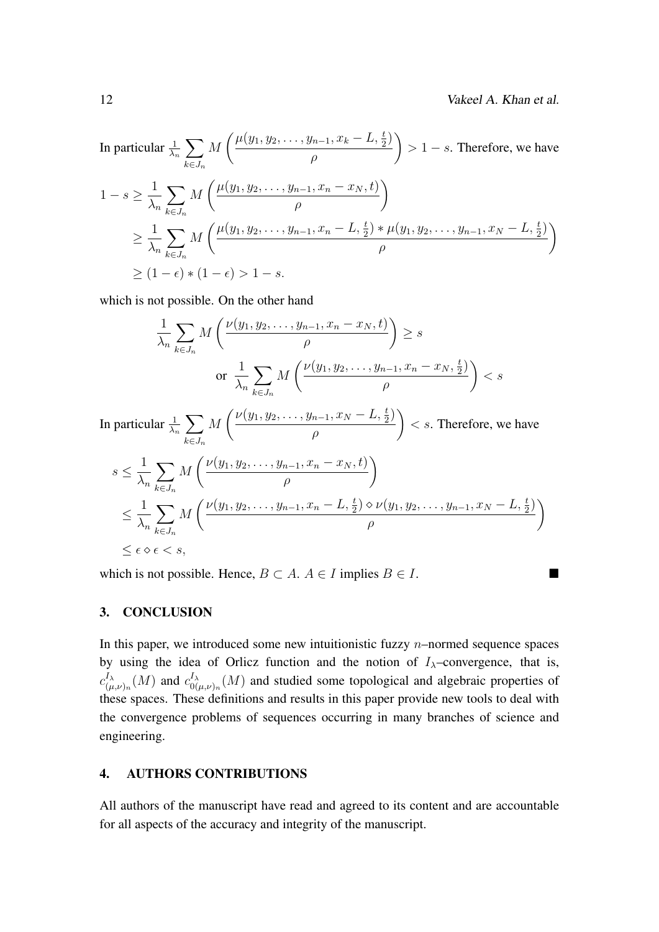In particular 
$$
\frac{1}{\lambda_n} \sum_{k \in J_n} M\left(\frac{\mu(y_1, y_2, \dots, y_{n-1}, x_k - L, \frac{t}{2})}{\rho}\right) > 1 - s.
$$
 Therefore, we have\n
$$
1 - s \ge \frac{1}{\lambda_n} \sum_{k \in J_n} M\left(\frac{\mu(y_1, y_2, \dots, y_{n-1}, x_n - x_N, t)}{\rho}\right)
$$
\n
$$
\ge \frac{1}{\lambda_n} \sum_{k \in J_n} M\left(\frac{\mu(y_1, y_2, \dots, y_{n-1}, x_n - L, \frac{t}{2}) * \mu(y_1, y_2, \dots, y_{n-1}, x_N - L, \frac{t}{2})}{\rho}\right)
$$
\n
$$
\ge (1 - \epsilon) * (1 - \epsilon) > 1 - s.
$$

which is not possible. On the other hand

$$
\frac{1}{\lambda_n} \sum_{k \in J_n} M\left(\frac{\nu(y_1, y_2, \dots, y_{n-1}, x_n - x_N, t)}{\rho}\right) \ge s
$$
\nor

\n
$$
\frac{1}{\lambda_n} \sum_{k \in J_n} M\left(\frac{\nu(y_1, y_2, \dots, y_{n-1}, x_n - x_N, \frac{t}{2})}{\rho}\right) < s
$$

In particular  $\frac{1}{\lambda_n} \sum$  $k \in J_n$ M  $\left(\frac{\nu(y_1, y_2, \ldots, y_{n-1}, x_N - L, \frac{t}{2})}{\nu(y_1, y_2, \ldots, y_{n-1}, x_N - L, \frac{t}{2})}\right)$ ρ  $\setminus$  $\lt s$ . Therefore, we have

$$
s \leq \frac{1}{\lambda_n} \sum_{k \in J_n} M\left(\frac{\nu(y_1, y_2, \dots, y_{n-1}, x_n - x_N, t)}{\rho}\right)
$$
  

$$
\leq \frac{1}{\lambda_n} \sum_{k \in J_n} M\left(\frac{\nu(y_1, y_2, \dots, y_{n-1}, x_n - L, \frac{t}{2}) \diamond \nu(y_1, y_2, \dots, y_{n-1}, x_N - L, \frac{t}{2})}{\rho}\right)
$$
  

$$
\leq \epsilon \diamond \epsilon \leq s,
$$

which is not possible. Hence,  $B \subset A$ .  $A \in I$  implies  $B \in I$ .

### 3. CONCLUSION

In this paper, we introduced some new intuitionistic fuzzy  $n$ –normed sequence spaces by using the idea of Orlicz function and the notion of  $I_{\lambda}$ –convergence, that is,  $c^{I_{\lambda}}_{\ell}$  $\frac{I_{\lambda}}{(\mu,\nu)_n}(M)$  and  $c_{0(}^{I_{\lambda}}$  $\int_{0(\mu,\nu)_n}^{\lambda} (M)$  and studied some topological and algebraic properties of these spaces. These definitions and results in this paper provide new tools to deal with the convergence problems of sequences occurring in many branches of science and engineering.

#### 4. AUTHORS CONTRIBUTIONS

All authors of the manuscript have read and agreed to its content and are accountable for all aspects of the accuracy and integrity of the manuscript.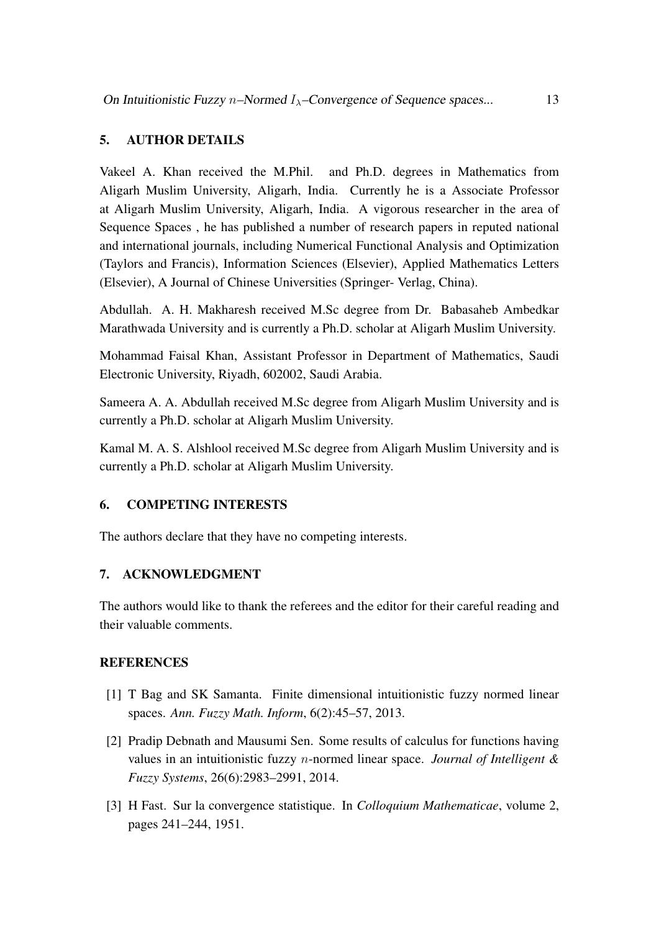## 5. AUTHOR DETAILS

Vakeel A. Khan received the M.Phil. and Ph.D. degrees in Mathematics from Aligarh Muslim University, Aligarh, India. Currently he is a Associate Professor at Aligarh Muslim University, Aligarh, India. A vigorous researcher in the area of Sequence Spaces , he has published a number of research papers in reputed national and international journals, including Numerical Functional Analysis and Optimization (Taylors and Francis), Information Sciences (Elsevier), Applied Mathematics Letters (Elsevier), A Journal of Chinese Universities (Springer- Verlag, China).

Abdullah. A. H. Makharesh received M.Sc degree from Dr. Babasaheb Ambedkar Marathwada University and is currently a Ph.D. scholar at Aligarh Muslim University.

Mohammad Faisal Khan, Assistant Professor in Department of Mathematics, Saudi Electronic University, Riyadh, 602002, Saudi Arabia.

Sameera A. A. Abdullah received M.Sc degree from Aligarh Muslim University and is currently a Ph.D. scholar at Aligarh Muslim University.

Kamal M. A. S. Alshlool received M.Sc degree from Aligarh Muslim University and is currently a Ph.D. scholar at Aligarh Muslim University.

## 6. COMPETING INTERESTS

The authors declare that they have no competing interests.

## <span id="page-12-0"></span>7. ACKNOWLEDGMENT

The authors would like to thank the referees and the editor for their careful reading and their valuable comments.

## **REFERENCES**

- <span id="page-12-2"></span>[1] T Bag and SK Samanta. Finite dimensional intuitionistic fuzzy normed linear spaces. *Ann. Fuzzy Math. Inform*, 6(2):45–57, 2013.
- <span id="page-12-3"></span>[2] Pradip Debnath and Mausumi Sen. Some results of calculus for functions having values in an intuitionistic fuzzy n-normed linear space. *Journal of Intelligent & Fuzzy Systems*, 26(6):2983–2991, 2014.
- <span id="page-12-1"></span>[3] H Fast. Sur la convergence statistique. In *Colloquium Mathematicae*, volume 2, pages 241–244, 1951.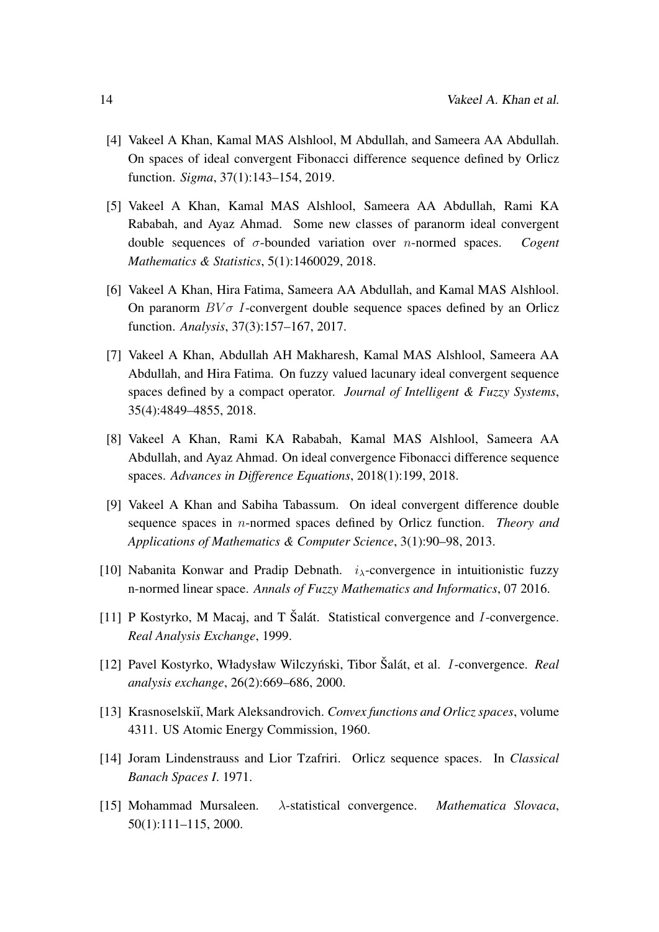- <span id="page-13-9"></span>[4] Vakeel A Khan, Kamal MAS Alshlool, M Abdullah, and Sameera AA Abdullah. On spaces of ideal convergent Fibonacci difference sequence defined by Orlicz function. *Sigma*, 37(1):143–154, 2019.
- <span id="page-13-2"></span>[5] Vakeel A Khan, Kamal MAS Alshlool, Sameera AA Abdullah, Rami KA Rababah, and Ayaz Ahmad. Some new classes of paranorm ideal convergent double sequences of σ-bounded variation over n-normed spaces. *Cogent Mathematics & Statistics*, 5(1):1460029, 2018.
- <span id="page-13-10"></span>[6] Vakeel A Khan, Hira Fatima, Sameera AA Abdullah, and Kamal MAS Alshlool. On paranorm  $BV\sigma$  I-convergent double sequence spaces defined by an Orlicz function. *Analysis*, 37(3):157–167, 2017.
- <span id="page-13-3"></span>[7] Vakeel A Khan, Abdullah AH Makharesh, Kamal MAS Alshlool, Sameera AA Abdullah, and Hira Fatima. On fuzzy valued lacunary ideal convergent sequence spaces defined by a compact operator. *Journal of Intelligent & Fuzzy Systems*, 35(4):4849–4855, 2018.
- <span id="page-13-4"></span>[8] Vakeel A Khan, Rami KA Rababah, Kamal MAS Alshlool, Sameera AA Abdullah, and Ayaz Ahmad. On ideal convergence Fibonacci difference sequence spaces. *Advances in Difference Equations*, 2018(1):199, 2018.
- <span id="page-13-11"></span>[9] Vakeel A Khan and Sabiha Tabassum. On ideal convergent difference double sequence spaces in n-normed spaces defined by Orlicz function. *Theory and Applications of Mathematics & Computer Science*, 3(1):90–98, 2013.
- <span id="page-13-6"></span>[10] Nabanita Konwar and Pradip Debnath.  $i_{\lambda}$ -convergence in intuitionistic fuzzy n-normed linear space. *Annals of Fuzzy Mathematics and Informatics*, 07 2016.
- <span id="page-13-0"></span>[11] P Kostyrko, M Macaj, and T Šalát. Statistical convergence and  $I$ -convergence. *Real Analysis Exchange*, 1999.
- <span id="page-13-1"></span>[12] Pavel Kostyrko, Władysław Wilczyński, Tibor Šalát, et al. *I*-convergence. *Real analysis exchange*, 26(2):669–686, 2000.
- <span id="page-13-7"></span>[13] Krasnoselski˘ı, Mark Aleksandrovich. *Convex functions and Orlicz spaces*, volume 4311. US Atomic Energy Commission, 1960.
- <span id="page-13-8"></span>[14] Joram Lindenstrauss and Lior Tzafriri. Orlicz sequence spaces. In *Classical Banach Spaces I*. 1971.
- <span id="page-13-5"></span>[15] Mohammad Mursaleen. λ-statistical convergence. *Mathematica Slovaca*, 50(1):111–115, 2000.